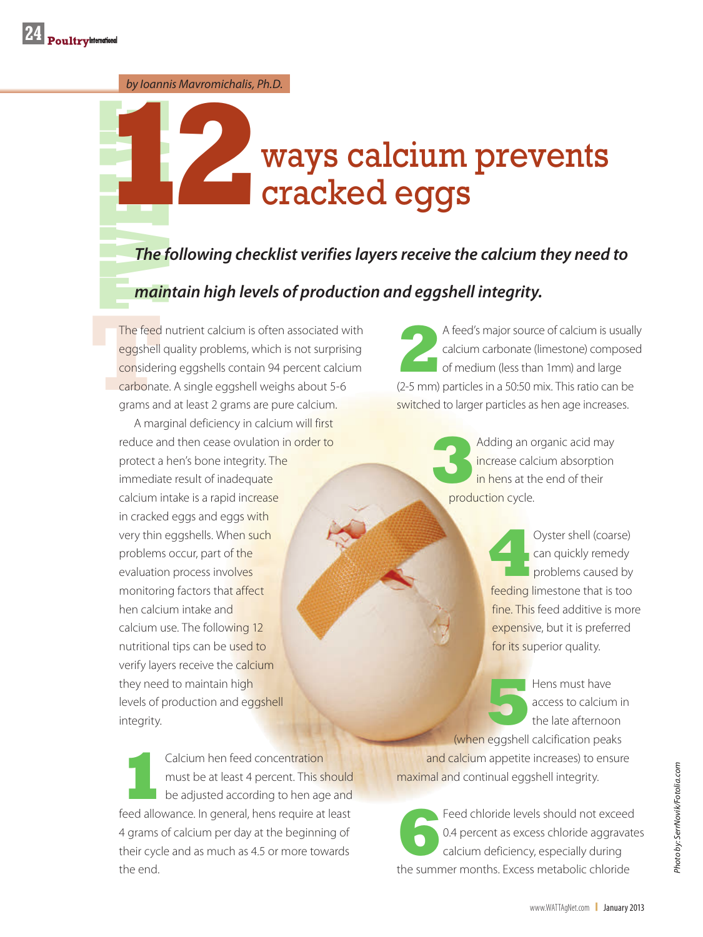*by Ioannis Mavromichalis, Ph.D.*

## **The f**<br>The f<br>main **12**ways calcium prevents cracked eggs

*The following checklist verifies layers receive the calcium they need to* 

## *maintain high levels of production and eggshell integrity.*

The feed<br>eggshell<br>consideri<br>carbonat<br>grams an The feed nutrient calcium is often associated with eggshell quality problems, which is not surprising considering eggshells contain 94 percent calcium carbonate. A single eggshell weighs about 5-6 grams and at least 2 grams are pure calcium.

A marginal deficiency in calcium will first reduce and then cease ovulation in order to protect a hen's bone integrity. The immediate result of inadequate calcium intake is a rapid increase in cracked eggs and eggs with very thin eggshells. When such problems occur, part of the evaluation process involves monitoring factors that affect hen calcium intake and calcium use. The following 12 nutritional tips can be used to verify layers receive the calcium they need to maintain high levels of production and eggshell integrity.

**1**Calcium hen feed concentration<br>
must be at least 4 percent. This sl<br>
be adjusted according to hen age must be at least 4 percent. This should be adjusted according to hen age and feed allowance. In general, hens require at least 4 grams of calcium per day at the beginning of their cycle and as much as 4.5 or more towards the end.

**2** A feed's major source of calcium is usually calcium carbonate (limestone) composed of medium (less than 1mm) and large (2-5 mm) particles in a 50:50 mix. This ratio can be switched to larger particles as hen age increases.

> **3**Adding an organic acid may increase calcium absorption in hens at the end of their production cycle.

> > **4**Oyster shell (coarse) can quickly remedy problems caused by feeding limestone that is too fine. This feed additive is more expensive, but it is preferred for its superior quality.

Hens must have<br>
access to calcium in the late afternoon access to calcium in

(when eggshell calcification peaks and calcium appetite increases) to ensure maximal and continual eggshell integrity.

Feed chloride levels should not exceed<br>0.4 percent as excess chloride aggravate<br>calcium deficiency, especially during 0.4 percent as excess chloride aggravates calcium deficiency, especially during the summer months. Excess metabolic chloride